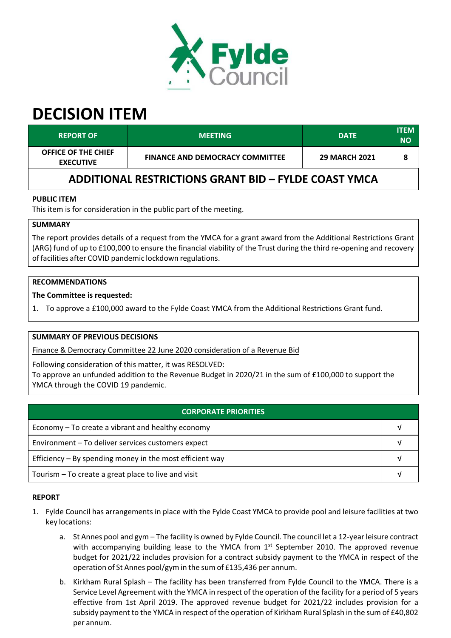

# **DECISION ITEM**

| <b>REPORT OF</b>                                            | <b>MEETING</b>                         | <b>DATE</b>          | ITEM<br><b>NO</b> |  |  |  |
|-------------------------------------------------------------|----------------------------------------|----------------------|-------------------|--|--|--|
| <b>OFFICE OF THE CHIEF</b><br><b>EXECUTIVE</b>              | <b>FINANCE AND DEMOCRACY COMMITTEE</b> | <b>29 MARCH 2021</b> |                   |  |  |  |
| <b>ADDITIONAL RESTRICTIONS GRANT BID - FYLDE COAST YMCA</b> |                                        |                      |                   |  |  |  |

# **PUBLIC ITEM**

This item is for consideration in the public part of the meeting.

# **SUMMARY**

The report provides details of a request from the YMCA for a grant award from the Additional Restrictions Grant (ARG) fund of up to £100,000 to ensure the financial viability of the Trust during the third re‐opening and recovery of facilities after COVID pandemic lockdown regulations.

## **RECOMMENDATIONS**

## **The Committee is requested:**

1. To approve a £100,000 award to the Fylde Coast YMCA from the Additional Restrictions Grant fund.

## **SUMMARY OF PREVIOUS DECISIONS**

Finance & Democracy Committee 22 June 2020 consideration of a Revenue Bid

Following consideration of this matter, it was RESOLVED:

To approve an unfunded addition to the Revenue Budget in 2020/21 in the sum of £100,000 to support the YMCA through the COVID 19 pandemic.

| <b>CORPORATE PRIORITIES</b>                                |  |  |
|------------------------------------------------------------|--|--|
| Economy – To create a vibrant and healthy economy          |  |  |
| Environment - To deliver services customers expect         |  |  |
| Efficiency $-$ By spending money in the most efficient way |  |  |
| Tourism – To create a great place to live and visit        |  |  |

## **REPORT**

- 1. Fylde Council has arrangements in place with the Fylde Coast YMCA to provide pool and leisure facilities at two key locations:
	- a. St Annes pool and gym The facility is owned by Fylde Council. The council let a 12‐year leisure contract with accompanying building lease to the YMCA from 1<sup>st</sup> September 2010. The approved revenue budget for 2021/22 includes provision for a contract subsidy payment to the YMCA in respect of the operation of St Annes pool/gym in the sum of £135,436 per annum.
	- b. Kirkham Rural Splash The facility has been transferred from Fylde Council to the YMCA. There is a Service Level Agreement with the YMCA in respect of the operation of the facility for a period of 5 years effective from 1st April 2019. The approved revenue budget for 2021/22 includes provision for a subsidy payment to the YMCA in respect of the operation of Kirkham Rural Splash in the sum of £40,802 per annum.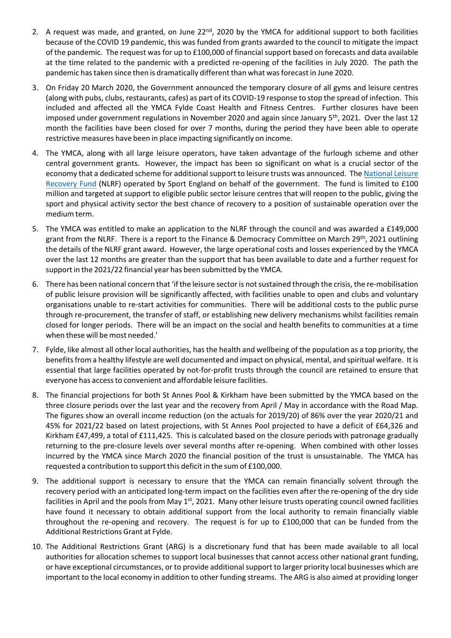- 2. A request was made, and granted, on June 22<sup>nd</sup>, 2020 by the YMCA for additional support to both facilities because of the COVID 19 pandemic, this was funded from grants awarded to the council to mitigate the impact of the pandemic. The request was for up to £100,000 of financial support based on forecasts and data available at the time related to the pandemic with a predicted re‐opening of the facilities in July 2020. The path the pandemic hastaken since then is dramatically different than what wasforecast in June 2020.
- 3. On Friday 20 March 2020, the Government announced the temporary closure of all gyms and leisure centres (along with pubs, clubs, restaurants, cafes) as part of its COVID‐19 response to stop the spread of infection. This included and affected all the YMCA Fylde Coast Health and Fitness Centres. Further closures have been imposed under government regulations in November 2020 and again since January 5<sup>th</sup>, 2021. Over the last 12 month the facilities have been closed for over 7 months, during the period they have been able to operate restrictive measures have been in place impacting significantly on income.
- 4. The YMCA, along with all large leisure operators, have taken advantage of the furlough scheme and other central government grants. However, the impact has been so significant on what is a crucial sector of the economy that a dedicated scheme for additional support to leisure trusts was announced. The [National](https://www.sportengland.org/how-we-can-help/facilities-and-planning/national-leisure-recovery-fund) Leisure [Recovery](https://www.sportengland.org/how-we-can-help/facilities-and-planning/national-leisure-recovery-fund) Fund (NLRF) operated by Sport England on behalf of the government. The fund is limited to £100 million and targeted at support to eligible public sector leisure centres that will reopen to the public, giving the sport and physical activity sector the best chance of recovery to a position of sustainable operation over the medium term.
- 5. The YMCA was entitled to make an application to the NLRF through the council and was awarded a £149,000 grant from the NLRF. There is a report to the Finance & Democracy Committee on March 29<sup>th</sup>, 2021 outlining the details of the NLRF grant award. However, the large operational costs and losses experienced by the YMCA over the last 12 months are greater than the support that has been available to date and a further request for support in the 2021/22 financial year has been submitted by the YMCA.
- 6. There has been national concern that 'if the leisure sector is not sustained through the crisis, the re-mobilisation of public leisure provision will be significantly affected, with facilities unable to open and clubs and voluntary organisations unable to re‐start activities for communities. There will be additional costs to the public purse through re‐procurement, the transfer of staff, or establishing new delivery mechanisms whilst facilities remain closed for longer periods. There will be an impact on the social and health benefits to communities at a time when these will be most needed.'
- 7. Fylde, like almost all other local authorities, hasthe health and wellbeing of the population as a top priority, the benefits from a healthy lifestyle are well documented and impact on physical, mental, and spiritual welfare. It is essential that large facilities operated by not‐for‐profit trusts through the council are retained to ensure that everyone has accessto convenient and affordable leisure facilities.
- 8. The financial projections for both St Annes Pool & Kirkham have been submitted by the YMCA based on the three closure periods over the last year and the recovery from April / May in accordance with the Road Map. The figures show an overall income reduction (on the actuals for 2019/20) of 86% over the year 2020/21 and 45% for 2021/22 based on latest projections, with St Annes Pool projected to have a deficit of £64,326 and Kirkham £47,499, a total of £111,425. This is calculated based on the closure periods with patronage gradually returning to the pre-closure levels over several months after re-opening. When combined with other losses incurred by the YMCA since March 2020 the financial position of the trust is unsustainable. The YMCA has requested a contribution to support this deficit in the sum of £100,000.
- 9. The additional support is necessary to ensure that the YMCA can remain financially solvent through the recovery period with an anticipated long‐term impact on the facilities even after the re‐opening of the dry side facilities in April and the pools from May 1<sup>st</sup>, 2021. Many other leisure trusts operating council owned facilities have found it necessary to obtain additional support from the local authority to remain financially viable throughout the re-opening and recovery. The request is for up to £100,000 that can be funded from the Additional Restrictions Grant at Fylde.
- 10. The Additional Restrictions Grant (ARG) is a discretionary fund that has been made available to all local authorities for allocation schemes to support local businesses that cannot access other national grant funding, or have exceptional circumstances, or to provide additionalsupport to larger priority local businesses which are important to the local economy in addition to other funding streams. The ARG is also aimed at providing longer